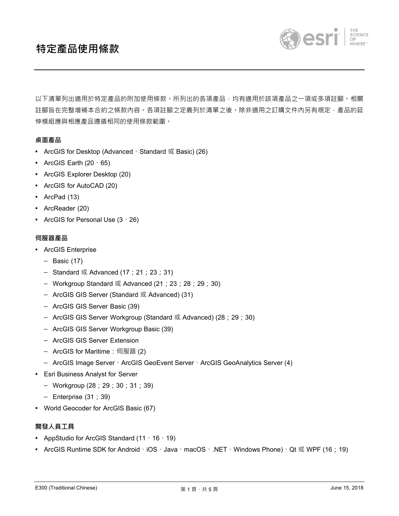# **特定產品使用條款**



以下清單列出適用於特定產品的附加使用條款。所列出的各項產品,均有適用於該項產品之一項或多項註腳。相關 註腳旨在完整增補本合約之條款內容。各項註腳之定義列於清單之後。除非適用之訂購文件內另有規定﹐產品的延 伸模組應與相應產品遵循相同的使用條款範圍。

## **桌面產品**

- ArcGIS for Desktop (Advanced、Standard 或 Basic) (26)
- **•** ArcGIS Earth  $(20 \cdot 65)$
- ArcGIS Explorer Desktop (20)
- ArcGIS for AutoCAD (20)
- ArcPad (13)
- ArcReader (20)
- ArcGIS for Personal Use  $(3 \cdot 26)$

#### **伺服器產品**

- ArcGIS Enterprise
	- Basic (17)
	- Standard 或 Advanced  $(17; 21; 23; 31)$
	- Workgroup Standard 或 Advanced (21;23;28;29;30)
	- ArcGIS GIS Server (Standard 或 Advanced) (31)
	- ArcGIS GIS Server Basic (39)
	- ArcGIS GIS Server Workgroup (Standard 或 Advanced) (28;29;30)
	- ArcGIS GIS Server Workgroup Basic (39)
	- ArcGIS GIS Server Extension
	- ArcGIS for Maritime: 伺服器 (2)
	- ArcGIS Image Server、ArcGIS GeoEvent Server、ArcGIS GeoAnalytics Server (4)
- Esri Business Analyst for Server
	- Workgroup (28;29;30;31;39)
	- Enterprise (31;39)
- World Geocoder for ArcGIS Basic (67)

# **開發人員工具**

- **AppStudio for ArcGIS Standard (11**  $\cdot$  **16**  $\cdot$  **19)**
- ArcGIS Runtime SDK for Android、iOS、Java、macOS、.NET、Windows Phone)、Qt 或 WPF (16; 19)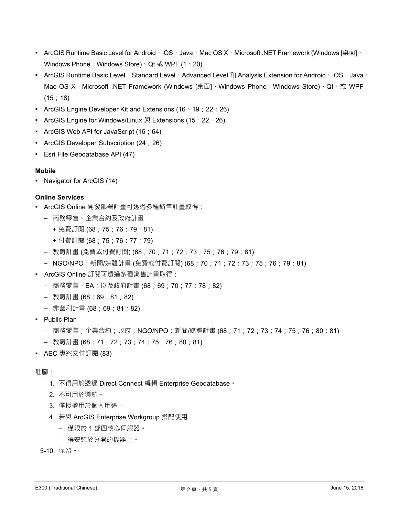- ArcGIS Runtime Basic Level for Android 、iOS、Java、Mac OS X、Microsoft .NET Framework (Windows [桌面]、 Windows Phone、Windows Store)、Qt 或 WPF (1、20)
- ArcGIS Runtime Basic Level、Standard Level、Advanced Level 和 Analysis Extension for Android、iOS、Java、 Mac OS X、Microsoft .NET Framework (Windows [桌面]、Windows Phone、Windows Store)、Qt、或 WPF (15;18)
- **•** ArcGIS Engine Developer Kit and Extensions (16  $\cdot$  19 ; 22 ; 26)
- ArcGIS Engine for Windows/Linux 與 Extensions (15、22、26)
- ArcGIS Web API for JavaScript (16;64)
- ArcGIS Developer Subscription (24;26)
- Esri File Geodatabase API (47)

## **Mobile**

▪ Navigator for ArcGIS (14)

## **Online Services**

- ArcGIS Online 開發部署計畫可透過多種銷售計畫取得:
	- 商務零售、企業合約及政府計畫
		- + 免費訂閱 (68;75;76;79;81)
		- + 付費訂閱 (68;75;76;77;79)
	- 教育計畫 (免費或付費訂閱) (68;70;71;72;73;75;76;79;81)
	- NGO/NPO、新聞/媒體計畫 (免費或付費訂閱) (68;70;71;72;73;75;76;79;81)
- ArcGIS Online 訂閱可透過多種銷售計畫取得:
	- 商務零售、EA;以及政府計畫 (68;69;70;77;78;82)
	- 教育計畫 (68;69;81;82)
	- 非營利計畫 (68;69;81;82)
- Public Plan
	- 商務零售;企業合約;政府;NGO/NPO;新聞/媒體計畫 (68;71;72;73;74;75;76;80;81)
	- 教育計畫 (68;71;72;73;74;75;76;80;81)
- AEC 專案交付訂閱 (83)

## 註腳:

- 1. 不得用於透過 Direct Connect 編輯 Enterprise Geodatabase。
- 2. 不可用於導航。
- 3. 僅授權用於個人用途。
- 4. 若與 ArcGIS Enterprise Workgroup 搭配使用
	- 僅限於 1 部四核心伺服器。
	- 得安裝於分開的機器上。
- 5-10. 保留。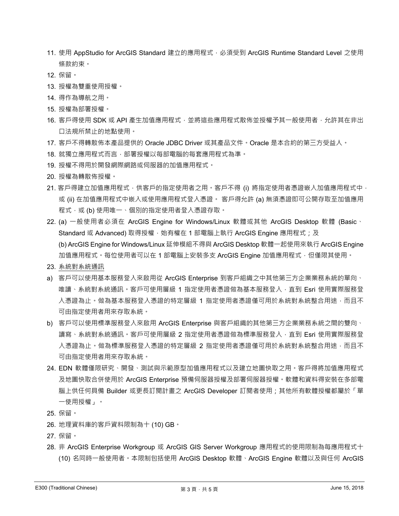- 11. 使用 AppStudio for ArcGIS Standard 建立的應用程式, 必須受到 ArcGIS Runtime Standard Level 之使用 條款約束。
- 12. 保留。
- 13. 授權為雙重使用授權。
- 14. 得作為導航之⽤。
- 15. 授權為部署授權。
- 16. 客戶得使用 SDK 或 API 產牛加值應用程式, 並將這些應用程式散佈並授權予其一般使用者, 允許其在非出 口法規所禁止的地點使用。
- 17. 客戶不得轉散佈本產品提供的 Oracle JDBC Driver 或其產品文件。Oracle 是本合約的第三方受益人。
- 18. 就獨立應用程式而言,部署授權以每部電腦的每套應用程式為準。
- 19. 授權不得用於開發網際網路或伺服器的加值應用程式。
- 20. 授權為轉散佈授權。
- 21. 客戶得建立加值應用程式,供客戶的指定使用者之用。客戶不得 (i) 將指定使用者憑證嵌入加值應用程式中, 或 (ii) 在加值應用程式中嵌入或使用應用程式登入憑證。 客戶得允許 (a) 無須憑證即可公開存取至加值應用 程式,或 (b) 使用唯一、個別的指定使用者登入憑證存取。
- 22. (a) 一般使用者必須在 ArcGIS Engine for Windows/Linux 軟體或其他 ArcGIS Desktop 軟體 (Basic ⋅ Standard 或 Advanced) 取得授權, 始有權在 1 部電腦上執行 ArcGIS Engine 應用程式; 及 (b) ArcGIS Engine for Windows/Linux 延伸模組不得與 ArcGIS Desktop 軟體⼀起使⽤來執行 ArcGIS Engine 加值應用程式。每位使用者可以在 1 部電腦上安裝多支 ArcGIS Engine 加值應用程式,但僅限其使用。
- 23. 系統對系統通訊
- a)客戶可以使用基本服務登入來啟用從 ArcGIS Enterprise 到客戶組織之中其他第三方企業業務系統的單向、 唯讀、系統對系統通訊。客戶可使用層級 1 指定使用者憑證做為基本服務登入,直到 Esri 使用實際服務登 入憑證為止。做為基本服務登入憑證的特定層級 1 指定使用者憑證僅可用於系統對系統整合用途,而且不 可由指定使⽤者⽤來存取系統。
- b) 客戶可以使用標準服務登入來啟用 ArcGIS Enterprise 與客戶組織的其他第三方企業業務系統之間的雙向、 讀寫、系統對系統通訊。客戶可使用層級 2 指定使用者憑證做為標準服務登入, 直到 Esri 使用實際服務登 入憑證為止。做為標準服務登入憑證的特定層級 2 指定使用者憑證僅可用於系統對系統整合用途,而且不 可由指定使用者用來存取系統。
- 24. EDN 軟體僅限研究、開發、測試與示範原型加值應用程式以及建立地圖快取之用。客戶得將加值應用程式 及地圖快取合併使⽤於 ArcGIS Enterprise 預備伺服器授權及部署伺服器授權。軟體和資料得安裝在多部電 腦上供任何具備 Builder 或更長訂閱計畫之 ArcGIS Developer 訂閱者使用;其他所有軟體授權都屬於「單 一使用授權」。
- 25. 保留。
- 26. 地理資料庫的客戶資料限制為十 (10) GB。
- 27. 保留。
- 28. 非 ArcGIS Enterprise Workgroup 或 ArcGIS GIS Server Workgroup 應用程式的使用限制為每應用程式十 (10) 名同時一般使用者。本限制包括使用 ArcGIS Desktop 軟體、ArcGIS Engine 軟體以及與任何 ArcGIS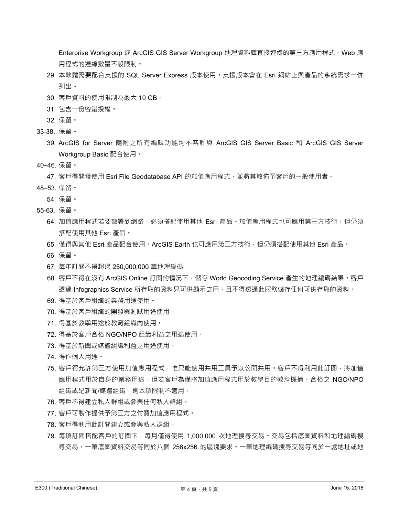Enterprise Workgroup 或 ArcGIS GIS Server Workgroup 地理資料庫直接連線的第三方應用程式。Web 應 ⽤程式的連線數量不設限制。

- 29. 本軟體需要配合支援的 SQL Server Express 版本使用。支援版本會在 Esri 網站上與產品的系統需求一併 列出。
- 30. 客戶資料的使用限制為最大 10 GB。
- 31. 包含⼀份容錯授權。
- 32. 保留。
- 33-38. 保留。
	- 39. ArcGIS for Server 隨附之所有編輯功能均不容許與 ArcGIS GIS Server Basic 和 ArcGIS GIS Server Workgroup Basic 配合使用。
- 40–46. 保留。

47. 客戶得開發使用 Esri File Geodatabase API 的加值應用程式,並將其散佈予客戶的一般使用者。

- 48–53. 保留。
	- 54. 保留。
- 55-63. 保留。
	- 64. 加值應用程式若要部署到網路,必須搭配使用其他 Esri 產品。加值應用程式也可應用第三方技術,但仍須 搭配使用其他 Esri 產品。
	- 65. 僅得與其他 Esri 產品配合使用。ArcGIS Earth 也可應用第三方技術, 但仍須搭配使用其他 Esri 產品。
	- 66. 保留。
	- 67. 每年訂閱不得超過 250,000,000 筆地理編碼。
	- 68. 客戶不得在沒有 ArcGIS Online 訂閱的情況下,儲存 World Geocoding Service 產生的地理編碼結果。客戶 透過 Infographics Service 所存取的資料只可供顯示之用,且不得透過此服務儲存任何可供存取的資料。
	- 69. 得基於客戶組織的業務用途使用。
	- 70. 得基於客戶組織的開發與測試用途使用。
	- 71. 得基於教學用途於教育組織內使用。
	- 72. 得基於客戶合格 NGO/NPO 組織利益之用途使用。
	- 73. 得基於新聞或媒體組織利益之用途使用。
	- 74. 得作個人用途。
	- 75. 客戶得允許第三方使用加值應用程式 ·惟只能使用共用工具予以公開共用 · 客戶不得利用此訂閱 ·將加值 應用程式用於自身的業務用途,但若客戶為僅將加值應用程式用於教學目的教育機構、合格之 NGO/NPO 組織或是新聞/媒體組織,則本項限制不適用。
	- 76. 客戶不得建立私人群組或參與任何私人群組。
	- 77. 客戶可製作提供予第三方之付費加值應用程式。
	- 78. 客戶得利用此訂閱建立或參與私人群組。
	- 79. 每項訂閱搭配客戶的訂閱下,每月僅得使用 1,000,000 次地理搜尋交易。交易包括底圖資料和地理編碼搜 尋交易。一筆底圖資料交易等同於八個 256x256 的區塊要求。一筆地理編碼搜尋交易等同於一處地址或地